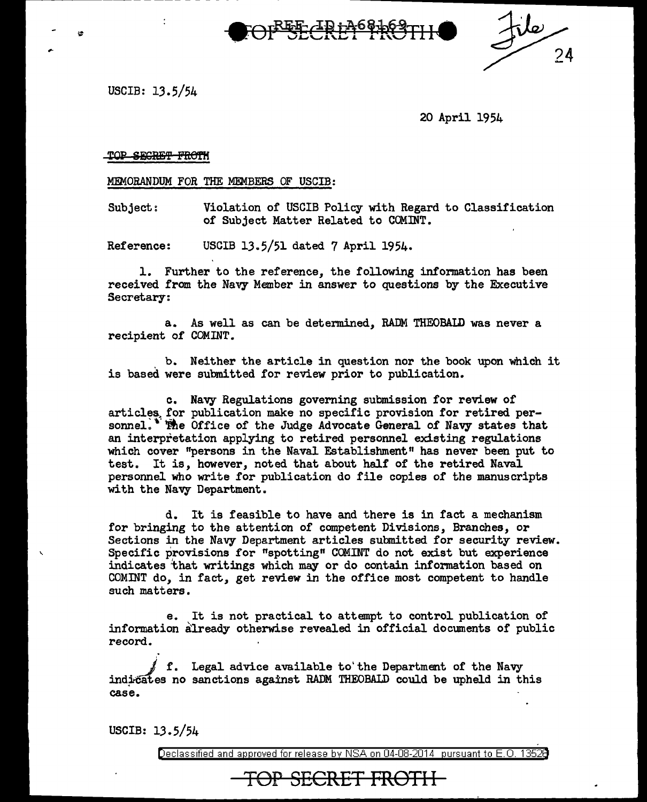

24

USCIB: 13. 5/54

,.

20 April 1954

TOP SEGRET FROTH

MEMORANDUM FOR THE MEMBERS OF USCIB:

Subject: Violation of USCIB Policy with Regard to Classification of Subject Matter Related to COMINT.

Reference: USCIB 13.5/51 dated 7 April 1954.

1. Further to the reference, the following information has been received from the Navy Member in answer to questions by the Executive Secretary:

a. As well as can be determined. RADM THEOBALD was never a recipient of COMINT.

b. Neither the article in question nor the book upon which it is based were submitted for review prior to publication.

c. Navy Regulations governing submission for review of articles. for publication make no specific provision for retired personnel.<sup>\*</sup> The Office of the Judge Advocate General of Navy states that an interpretation applying to retired personnel existing regulations which cover "persons in the Naval Establishment" has never been put to test. It is, however, noted that about half of the retired Naval personnel who write for publication do file copies of the manuscripts with the Navy Department.

d. It is feasible to have and there is in fact a mechanism for bringing to the attention of competent Divisions, Branches, or Sections in the Navy Department articles submitted for security review. Specific provisions for "spotting" COMINT do not exist but experience indicates that writings which may or do contain information based on COMINT do, in fact, get review in the office most competent to handle such matters.

e. It is not practical to attempt to control publication of information already otherwise revealed in official documents of public record.

*\_j* f. Legal advice available to' the Department of the Navy indicates no sanctions against RADM THEOBALD could be upheld in this case.

USCIB: 13.5/54

Declassified and approved for release by NSA on 04-08-2014 pursuant to E. 0. 1352B

TOP SECRET FROTH-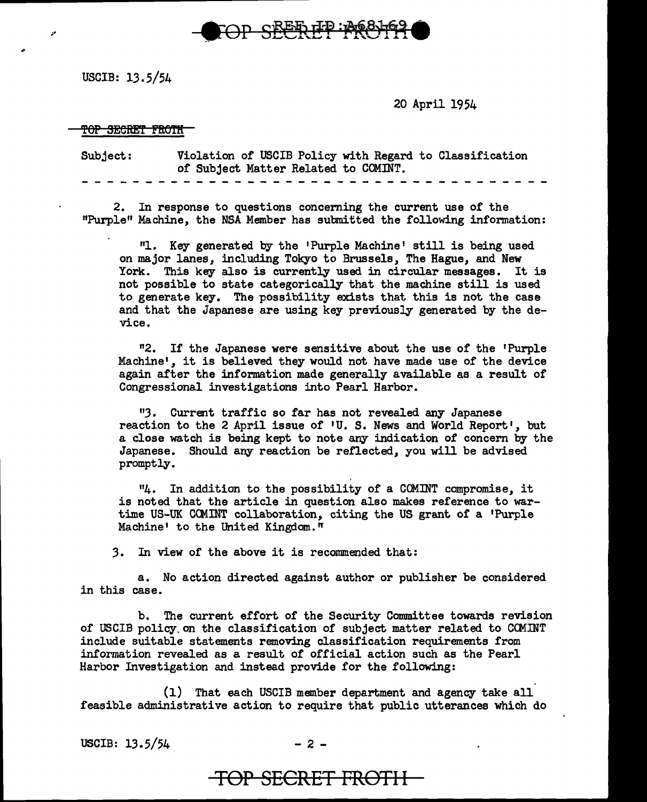

USCIB: 13.5/54

;.•

20 April 1954

## <del>TOP SECRET FROTH</del>

Subject: Violation of USCIB Policy with Regard to Classification of Subject Matter Related to COMINT.

2. In response to questions concerning the current use of the "Purple" Machine, the NSA Member has submitted the following information:

"1. Key generated by the 'Purple Machine' still is being used on major lanes, including Tokyo to Brussels, The Hague, and New York. This key also is currently used in circular messages. It is not possible to state categorically that the machine still is used to generate key. The possibility exists that this is not the case and that the Japanese are using key previously generated by the device.

<sup>11</sup>2. If the Japanese were sensitive about the use of the •Purple Machine', it is believed they would not have made use of the device again after the information made generally available as a result of Congressional investigations into Pearl Harbor.

113. Current traffic so far has not revealed any Japanese reaction to the 2 April issue of 'U. S. News and World Report', but a close watch is being kept to note any indication of concern by the Japanese. Should any reaction be reflected, you will be advised promptly.

<sup>11</sup>4. In addition to the possibility of a COMINT compromise, it is noted that the article in question also makes reference to wartime US-UK CCMINT collaboration, citing the US grant of a 'Purple Machine' to the United Kingdom."

3. In view of the above it is recommended that:

a. No action directed against author or publisher be considered in this case.

b. The current effort of the Security Committee towards revision of USCIB policy on the classification of subject matter related to COMINT include suitable statements removing classification requirements from information revealed as a result of official action such as the Pearl Harbor Investigation and instead provide for the following:

(1) That each USCIB member department and agency take all feasible administrative action to require that public utterances which do

USCIB:  $13.5/54$  - 2 -

TOP SECRET FROTH